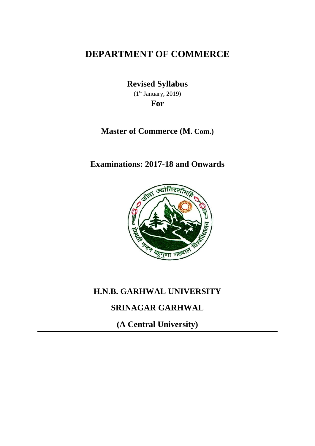# **DEPARTMENT OF COMMERCE**

**Revised Syllabus**  $(1<sup>st</sup> January, 2019)$ **For**

## **Master of Commerce (M. Com.)**

**Examinations: 2017-18 and Onwards**



## **H.N.B. GARHWAL UNIVERSITY**

# **SRINAGAR GARHWAL**

**(A Central University)**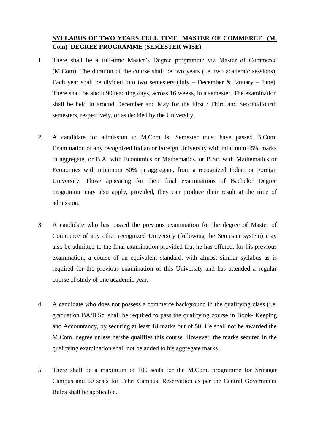## **SYLLABUS OF TWO YEARS FULL TIME MASTER OF COMMERCE (M. Com) DEGREE PROGRAMME (SEMESTER WISE)**

- 1. There shall be a full-time Master's Degree programme viz Master of Commerce (M.Com). The duration of the course shall be two years (i.e. two academic sessions). Each year shall be divided into two semesters (July – December  $& January - June$ ). There shall be about 90 teaching days, across 16 weeks, in a semester. The examination shall be held in around December and May for the First / Third and Second/Fourth semesters, respectively, or as decided by the University.
- 2. A candidate for admission to M.Com Ist Semester must have passed B.Com. Examination of any recognized Indian or Foreign University with minimum 45% marks in aggregate, or B.A. with Economics or Mathematics, or B.Sc. with Mathematics or Economics with minimum 50% in aggregate, from a recognized Indian or Foreign University. Those appearing for their final examinations of Bachelor Degree programme may also apply, provided, they can produce their result at the time of admission.
- 3. A candidate who has passed the previous examination for the degree of Master of Commerce of any other recognized University (following the Semester system) may also be admitted to the final examination provided that he has offered, for his previous examination, a course of an equivalent standard, with almost similar syllabus as is required for the previous examination of this University and has attended a regular course of study of one academic year.
- 4. A candidate who does not possess a commerce background in the qualifying class (i.e. graduation BA/B.Sc. shall be required to pass the qualifying course in Book- Keeping and Accountancy, by securing at least 18 marks out of 50. He shall not be awarded the M.Com. degree unless he/she qualifies this course. However, the marks secured in the qualifying examination shall not be added to his aggregate marks.
- 5. There shall be a maximum of 100 seats for the M.Com. programme for Srinagar Campus and 60 seats for Tehri Campus. Reservation as per the Central Government Rules shall be applicable.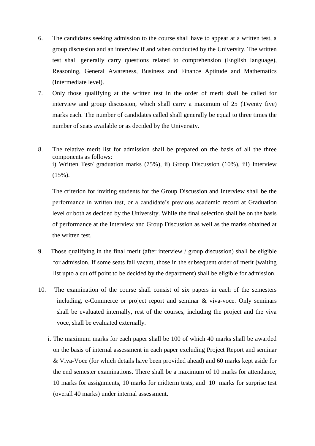- 6. The candidates seeking admission to the course shall have to appear at a written test, a group discussion and an interview if and when conducted by the University. The written test shall generally carry questions related to comprehension (English language), Reasoning, General Awareness, Business and Finance Aptitude and Mathematics (Intermediate level).
- 7. Only those qualifying at the written test in the order of merit shall be called for interview and group discussion, which shall carry a maximum of 25 (Twenty five) marks each. The number of candidates called shall generally be equal to three times the number of seats available or as decided by the University.
- 8. The relative merit list for admission shall be prepared on the basis of all the three components as follows: i) Written Test/ graduation marks (75%), ii) Group Discussion (10%), iii) Interview (15%).

The criterion for inviting students for the Group Discussion and Interview shall be the performance in written test, or a candidate's previous academic record at Graduation level or both as decided by the University. While the final selection shall be on the basis of performance at the Interview and Group Discussion as well as the marks obtained at the written test.

- 9. Those qualifying in the final merit (after interview / group discussion) shall be eligible for admission. If some seats fall vacant, those in the subsequent order of merit (waiting list upto a cut off point to be decided by the department) shall be eligible for admission.
- 10. The examination of the course shall consist of six papers in each of the semesters including, e-Commerce or project report and seminar & viva-voce. Only seminars shall be evaluated internally, rest of the courses, including the project and the viva voce, shall be evaluated externally.
	- i. The maximum marks for each paper shall be 100 of which 40 marks shall be awarded on the basis of internal assessment in each paper excluding Project Report and seminar & Viva-Voce (for which details have been provided ahead) and 60 marks kept aside for the end semester examinations. There shall be a maximum of 10 marks for attendance, 10 marks for assignments, 10 marks for midterm tests, and 10 marks for surprise test (overall 40 marks) under internal assessment.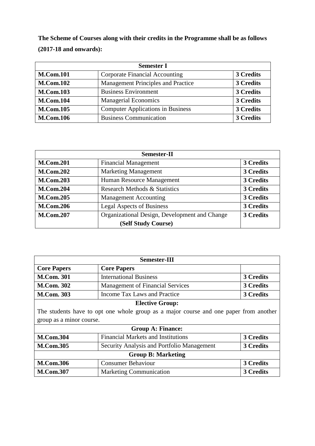**The Scheme of Courses along with their credits in the Programme shall be as follows (2017-18 and onwards):**

| <b>Semester I</b> |                                           |           |  |
|-------------------|-------------------------------------------|-----------|--|
| <b>M.Com.101</b>  | <b>Corporate Financial Accounting</b>     | 3 Credits |  |
| <b>M.Com.102</b>  | <b>Management Principles and Practice</b> | 3 Credits |  |
| <b>M.Com.103</b>  | <b>Business Environment</b>               | 3 Credits |  |
| <b>M.Com.104</b>  | <b>Managerial Economics</b>               | 3 Credits |  |
| <b>M.Com.105</b>  | <b>Computer Applications in Business</b>  | 3 Credits |  |
| <b>M.Com.106</b>  | <b>Business Communication</b>             | 3 Credits |  |

| <b>Semester-II</b> |                                               |           |  |
|--------------------|-----------------------------------------------|-----------|--|
| <b>M.Com.201</b>   | <b>Financial Management</b>                   | 3 Credits |  |
| <b>M.Com.202</b>   | <b>Marketing Management</b>                   | 3 Credits |  |
| <b>M.Com.203</b>   | Human Resource Management                     | 3 Credits |  |
| <b>M.Com.204</b>   | <b>Research Methods &amp; Statistics</b>      | 3 Credits |  |
| <b>M.Com.205</b>   | <b>Management Accounting</b>                  | 3 Credits |  |
| <b>M.Com.206</b>   | <b>Legal Aspects of Business</b>              | 3 Credits |  |
| <b>M.Com.207</b>   | Organizational Design, Development and Change | 3 Credits |  |
|                    | (Self Study Course)                           |           |  |

| <b>Semester-III</b>                                                                   |                                            |                  |  |  |
|---------------------------------------------------------------------------------------|--------------------------------------------|------------------|--|--|
| <b>Core Papers</b>                                                                    | <b>Core Papers</b>                         |                  |  |  |
| <b>M.Com. 301</b>                                                                     | <b>International Business</b>              | <b>3 Credits</b> |  |  |
| <b>M.Com. 302</b>                                                                     | <b>Management of Financial Services</b>    | 3 Credits        |  |  |
| <b>M.Com. 303</b>                                                                     | Income Tax Laws and Practice               | <b>3 Credits</b> |  |  |
| <b>Elective Group:</b>                                                                |                                            |                  |  |  |
| The students have to opt one whole group as a major course and one paper from another |                                            |                  |  |  |
| group as a minor course.                                                              |                                            |                  |  |  |
| <b>Group A: Finance:</b>                                                              |                                            |                  |  |  |
| <b>M.Com.304</b>                                                                      | <b>Financial Markets and Institutions</b>  | 3 Credits        |  |  |
| <b>M.Com.305</b>                                                                      | Security Analysis and Portfolio Management | 3 Credits        |  |  |
| <b>Group B: Marketing</b>                                                             |                                            |                  |  |  |
| <b>M.Com.306</b>                                                                      | <b>Consumer Behaviour</b>                  | 3 Credits        |  |  |
| <b>M.Com.307</b>                                                                      | <b>Marketing Communication</b>             | 3 Credits        |  |  |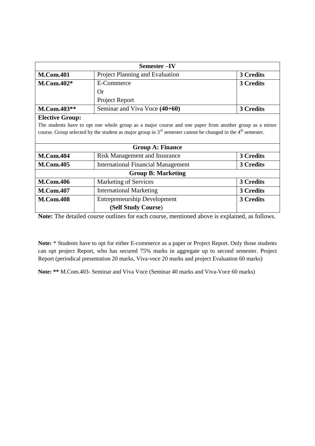| Semester –IV                                                                                                          |                                           |                  |  |  |
|-----------------------------------------------------------------------------------------------------------------------|-------------------------------------------|------------------|--|--|
| <b>M.Com.401</b>                                                                                                      | Project Planning and Evaluation           | 3 Credits        |  |  |
| $M_{\rm \cdot}$ Com.402*                                                                                              | <b>E-Commerce</b>                         |                  |  |  |
|                                                                                                                       | <b>Or</b>                                 |                  |  |  |
|                                                                                                                       | Project Report                            |                  |  |  |
| M.Com.403**                                                                                                           | Seminar and Viva Voce (40+60)             | 3 Credits        |  |  |
| <b>Elective Group:</b>                                                                                                |                                           |                  |  |  |
| The students have to opt one whole group as a major course and one paper from another group as a minor                |                                           |                  |  |  |
| course. Group selected by the student as major group in $3^{rd}$ semester cannot be changed in the $4^{th}$ semester. |                                           |                  |  |  |
|                                                                                                                       |                                           |                  |  |  |
|                                                                                                                       | <b>Group A: Finance</b>                   |                  |  |  |
| <b>M.Com.404</b>                                                                                                      | <b>Risk Management and Insurance</b>      | 3 Credits        |  |  |
| <b>M.Com.405</b>                                                                                                      | <b>International Financial Management</b> | 3 Credits        |  |  |
| <b>Group B: Marketing</b>                                                                                             |                                           |                  |  |  |
| <b>M.Com.406</b>                                                                                                      | <b>Marketing of Services</b>              | 3 Credits        |  |  |
| <b>M.Com.407</b>                                                                                                      | <b>International Marketing</b>            | 3 Credits        |  |  |
| <b>M.Com.408</b>                                                                                                      | <b>Entrepreneurship Development</b>       | <b>3 Credits</b> |  |  |
|                                                                                                                       | (Self Study Course)                       |                  |  |  |

**Note:** The detailed course outlines for each course, mentioned above is explained, as follows.

**Note:** \* Students have to opt for either E-commerce as a paper or Project Report. Only those students can opt project Report, who has secured 75% marks in aggregate up to second semester. Project Report (periodical presentation 20 marks, Viva-voce 20 marks and project Evaluation 60 marks)

**Note: \*\*** M.Com.403- Seminar and Viva Voce (Seminar 40 marks and Viva-Voce 60 marks)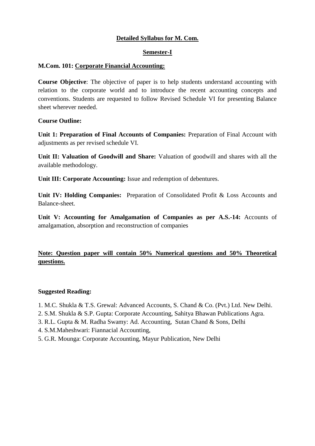## **Detailed Syllabus for M. Com.**

#### **Semester-I**

#### **M.Com. 101: Corporate Financial Accounting:**

**Course Objective**: The objective of paper is to help students understand accounting with relation to the corporate world and to introduce the recent accounting concepts and conventions. Students are requested to follow Revised Schedule VI for presenting Balance sheet wherever needed.

#### **Course Outline:**

**Unit 1: Preparation of Final Accounts of Companies:** Preparation of Final Account with adjustments as per revised schedule VI.

**Unit II: Valuation of Goodwill and Share:** Valuation of goodwill and shares with all the available methodology.

**Unit III: Corporate Accounting:** Issue and redemption of debentures.

**Unit IV: Holding Companies:** Preparation of Consolidated Profit & Loss Accounts and Balance-sheet.

**Unit V: Accounting for Amalgamation of Companies as per A.S.-14:** Accounts of amalgamation, absorption and reconstruction of companies

## **Note: Question paper will contain 50% Numerical questions and 50% Theoretical questions.**

- 1. M.C. Shukla & T.S. Grewal: Advanced Accounts, S. Chand & Co. (Pvt.) Ltd. New Delhi.
- 2. S.M. Shukla & S.P. Gupta: Corporate Accounting, Sahitya Bhawan Publications Agra.
- 3. R.L. Gupta & M. Radha Swamy: Ad. Accounting, Sutan Chand & Sons, Delhi
- 4. S.M.Maheshwari: Fiannacial Accounting,
- 5. G.R. Mounga: Corporate Accounting, Mayur Publication, New Delhi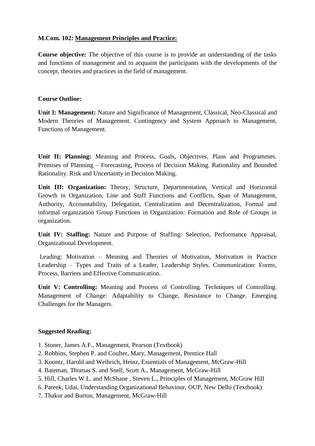## **M.Com. 102: Management Principles and Practice:**

**Course objective:** The objective of this course is to provide an understanding of the tasks and functions of management and to acquaint the participants with the developments of the concept, theories and practices in the field of management.

## **Course Outline:**

**Unit I: Management:** Nature and Significance of Management, Classical, Neo-Classical and Modern Theories of Management. Contingency and System Approach to Management, Functions of Management.

**Unit II: Planning:** Meaning and Process, Goals, Objectives, Plans and Programmes. Premises of Planning – Forecasting, Process of Decision Making. Rationality and Bounded Rationality. Risk and Uncertainty in Decision Making.

**Unit III: Organization:** Theory, Structure, Departmentation, Vertical and Horizontal Growth in Organization, Line and Staff Functions and Conflicts, Span of Management, Authority, Accountability, Delegation, Centralization and Decentralization, Formal and informal organization Group Functions in Organization: Formation and Role of Groups in organization.

**Unit IV: Staffing:** Nature and Purpose of Staffing: Selection, Performance Appraisal, Organizational Development.

Leading: Motivation – Meaning and Theories of Motivation, Motivation in Practice Leadership – Types and Traits of a Leader, Leadership Styles. Communication: Forms, Process, Barriers and Effective Communication.

**Unit V: Controlling:** Meaning and Process of Controlling. Techniques of Controlling. Management of Change: Adaptability to Change, Resistance to Change. Emerging Challenges for the Managers.

- 1. Stoner, James A.F., Management, Pearson (Textbook)
- 2. Robbins, Stephen P. and Coulter, Mary, Management, Prentice Hall
- 3. Koontz, Harold and Weihrich, Heinz, Essentials of Management, McGraw-Hill
- 4. Bateman, Thomas S. and Snell, Scott A., Management, McGraw-Hill
- 5. Hill, Charles W.L. and McShane , Steven L., Principles of Management, McGraw Hill
- 6. Pareek, Udai, Understanding Organizational Behaviour, OUP, New Delhi (Textbook)
- 7. Thakur and Burton, Management, McGraw-Hill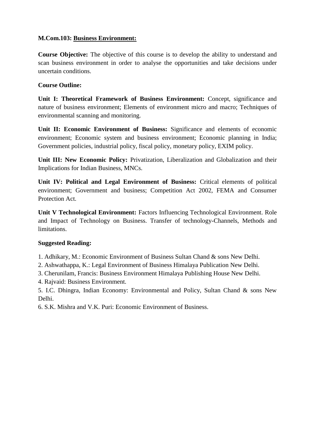## **M.Com.103: Business Environment:**

**Course Objective:** The objective of this course is to develop the ability to understand and scan business environment in order to analyse the opportunities and take decisions under uncertain conditions.

## **Course Outline:**

**Unit I: Theoretical Framework of Business Environment:** Concept, significance and nature of business environment; Elements of environment micro and macro; Techniques of environmental scanning and monitoring.

**Unit II: Economic Environment of Business:** Significance and elements of economic environment; Economic system and business environment; Economic planning in India; Government policies, industrial policy, fiscal policy, monetary policy, EXIM policy.

**Unit III: New Economic Policy:** Privatization, Liberalization and Globalization and their Implications for Indian Business, MNCs.

**Unit IV: Political and Legal Environment of Business:** Critical elements of political environment; Government and business; Competition Act 2002, FEMA and Consumer Protection Act.

**Unit V Technological Environment:** Factors Influencing Technological Environment. Role and Impact of Technology on Business. Transfer of technology-Channels, Methods and limitations.

### **Suggested Reading:**

1. Adhikary, M.: Economic Environment of Business Sultan Chand & sons New Delhi.

2. Ashwathappa, K.: Legal Environment of Business Himalaya Publication New Delhi.

3. Cherunilam, Francis: Business Environment Himalaya Publishing House New Delhi.

4. Rajvaid: Business Environment.

5. I.C. Dhingra, Indian Economy: Environmental and Policy, Sultan Chand & sons New Delhi.

6. S.K. Mishra and V.K. Puri: Economic Environment of Business.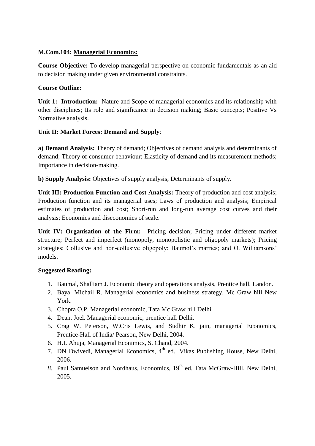## **M.Com.104: Managerial Economics:**

**Course Objective:** To develop managerial perspective on economic fundamentals as an aid to decision making under given environmental constraints.

## **Course Outline:**

**Unit 1: Introduction:** Nature and Scope of managerial economics and its relationship with other disciplines; Its role and significance in decision making; Basic concepts; Positive Vs Normative analysis.

## **Unit II: Market Forces: Demand and Supply**:

**a) Demand Analysis:** Theory of demand; Objectives of demand analysis and determinants of demand; Theory of consumer behaviour; Elasticity of demand and its measurement methods; Importance in decision-making.

**b) Supply Analysis:** Objectives of supply analysis; Determinants of supply.

**Unit III: Production Function and Cost Analysis:** Theory of production and cost analysis; Production function and its managerial uses; Laws of production and analysis; Empirical estimates of production and cost; Short-run and long-run average cost curves and their analysis; Economies and diseconomies of scale.

**Unit IV: Organisation of the Firm:** Pricing decision; Pricing under different market structure; Perfect and imperfect (monopoly, monopolistic and oligopoly markets); Pricing strategies; Collusive and non-collusive oligopoly; Baumol's marries; and O. Williamsons' models.

- 1. Baumal, Shalliam J. Economic theory and operations analysis, Prentice hall, Landon.
- 2. Baya, Michail R. Managerial economics and business strategy, Mc Graw hill New York.
- 3. Chopra O.P. Managerial economic, Tata Mc Graw hill Delhi.
- 4. Dean, Joel. Managerial economic, prentice hall Delhi.
- 5. Crag W. Peterson, W.Cris Lewis, and Sudhir K. jain, managerial Economics, Prentice-Hall of India/ Pearson, New Delhi, 2004.
- 6. H.L Ahuja, Managerial Econimics, S. Chand, 2004.
- 7. DN Dwivedi, Managerial Economics, 4<sup>th</sup> ed., Vikas Publishing House, New Delhi, 2006.
- 8. Paul Samuelson and Nordhaus, Economics, 19<sup>th</sup> ed. Tata McGraw-Hill, New Delhi, 2005.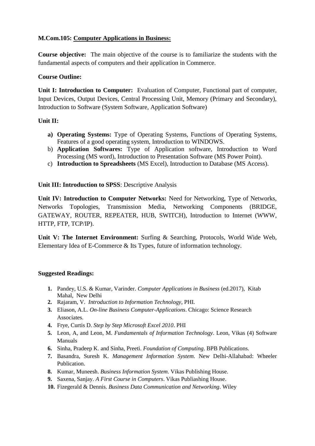## **M.Com.105: Computer Applications in Business:**

**Course objective:** The main objective of the course is to familiarize the students with the fundamental aspects of computers and their application in Commerce.

## **Course Outline:**

**Unit I: Introduction to Computer:** Evaluation of Computer, Functional part of computer, Input Devices, Output Devices, Central Processing Unit, Memory (Primary and Secondary), Introduction to Software (System Software, Application Software)

## **Unit II:**

- **a) Operating Systems:** Type of Operating Systems, Functions of Operating Systems, Features of a good operating system, Introduction to WINDOWS.
- b) **Application Softwares:** Type of Application software, Introduction to Word Processing (MS word), Introduction to Presentation Software (MS Power Point).
- c) **Introduction to Spreadsheets** (MS Excel), Introduction to Database (MS Access).

### **Unit III: Introduction to SPSS**: Descriptive Analysis

**Unit IV: Introduction to Computer Networks:** Need for Networking, Type of Networks, Networks Topologies, Transmission Media, Networking Components (BRIDGE, GATEWAY, ROUTER, REPEATER, HUB, SWITCH), Introduction to Internet (WWW, HTTP, FTP, TCP/IP).

**Unit V: The Internet Environment:** Surfing & Searching, Protocols, World Wide Web, Elementary Idea of E-Commerce & Its Types, future of information technology.

- **1.** Pandey, U.S. & Kumar, Varinder. *Computer Applications in Business* (ed.2017), Kitab Mahal, New Delhi
- **2.** Rajaram, V. *Introduction to Information Technology,* PHI.
- **3.** Eliason, A.L. *On-line Business Computer-Applications*. Chicago: Science Research Associates.
- **4.** Frye, Curtis D. *Step by Step Microsoft Excel 2010*. PHI
- **5.** Leon, A, and Leon, M. *Fundamentals of Information Technology*. Leon, Vikas (4) Software Manuals
- **6.** Sinha, Pradeep K. and Sinha, Preeti. *Foundation of Computing*. BPB Publications.
- **7.** Basandra, Suresh K. *Management Information System*. New Delhi-Allahabad: Wheeler Publication.
- **8.** Kumar, Muneesh. *Business Information System*. Vikas Publishing House.
- **9.** Saxena, Sanjay. *A First Course in Computers*. Vikas Publiashing House.
- **10.** Fizegerald & Dennis. *Business Data Communication and Networking*. Wiley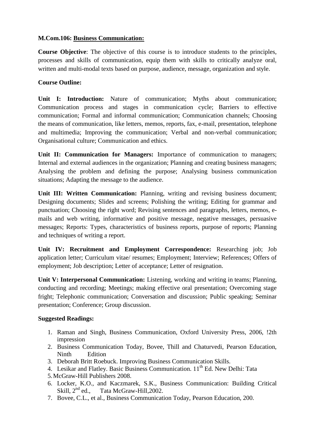## **M.Com.106: Business Communication:**

**Course Objective**: The objective of this course is to introduce students to the principles, processes and skills of communication, equip them with skills to critically analyze oral, written and multi-modal texts based on purpose, audience, message, organization and style.

## **Course Outline:**

**Unit I: Introduction:** Nature of communication; Myths about communication; Communication process and stages in communication cycle; Barriers to effective communication; Formal and informal communication; Communication channels; Choosing the means of communication, like letters, memos, reports, fax, e-mail, presentation, telephone and multimedia; Improving the communication; Verbal and non-verbal communication; Organisational culture; Communication and ethics.

**Unit II: Communication for Managers:** Importance of communication to managers; Internal and external audiences in the organization; Planning and creating business managers; Analysing the problem and defining the purpose; Analysing business communication situations; Adapting the message to the audience.

**Unit III: Written Communication:** Planning, writing and revising business document; Designing documents; Slides and screens; Polishing the writing; Editing for grammar and punctuation; Choosing the right word; Revising sentences and paragraphs, letters, memos, emails and web writing, informative and positive message, negative messages, persuasive messages; Reports: Types, characteristics of business reports, purpose of reports; Planning and techniques of writing a report.

**Unit IV: Recruitment and Employment Correspondence:** Researching job; Job application letter; Curriculum vitae/ resumes; Employment; Interview; References; Offers of employment; Job description; Letter of acceptance; Letter of resignation.

**Unit V: Interpersonal Communication:** Listening, working and writing in teams; Planning, conducting and recording; Meetings; making effective oral presentation; Overcoming stage fright; Telephonic communication; Conversation and discussion; Public speaking; Seminar presentation; Conference; Group discussion.

- 1. Raman and Singh, Business Communication, Oxford University Press, 2006, !2th impression
- 2. Business Communication Today, Bovee, Thill and Chaturvedi, Pearson Education, Ninth Edition
- 3. Deborah Britt Roebuck. Improving Business Communication Skills.
- 4. Lesikar and Flatley. Basic Business Communication. 11<sup>th</sup> Ed. New Delhi: Tata
- 5.McGraw-Hill Publishers 2008.
- 6. Locker, K.O., and Kaczmarek, S.K., Business Communication: Building Critical Skill,  $2<sup>nd</sup>$  ed., Tata McGraw-Hill, 2002.
- 7. Bovee, C.L., et al., Business Communication Today, Pearson Education, 200.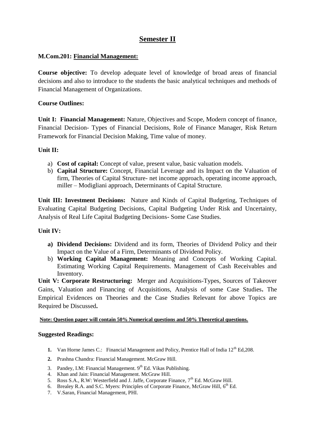## **Semester II**

## **M.Com.201: Financial Management:**

**Course objective:** To develop adequate level of knowledge of broad areas of financial decisions and also to introduce to the students the basic analytical techniques and methods of Financial Management of Organizations.

## **Course Outlines:**

**Unit I: Financial Management:** Nature, Objectives and Scope, Modern concept of finance, Financial Decision- Types of Financial Decisions, Role of Finance Manager, Risk Return Framework for Financial Decision Making, Time value of money.

## **Unit II:**

- a) **Cost of capital:** Concept of value, present value, basic valuation models.
- b) **Capital Structure:** Concept, Financial Leverage and its Impact on the Valuation of firm, Theories of Capital Structure- net income approach, operating income approach, miller – Modigliani approach, Determinants of Capital Structure.

**Unit III: Investment Decisions:** Nature and Kinds of Capital Budgeting, Techniques of Evaluating Capital Budgeting Decisions, Capital Budgeting Under Risk and Uncertainty, Analysis of Real Life Capital Budgeting Decisions- Some Case Studies.

### **Unit IV:**

- **a) Dividend Decisions:** Dividend and its form, Theories of Dividend Policy and their Impact on the Value of a Firm, Determinants of Dividend Policy.
- b) **Working Capital Management:** Meaning and Concepts of Working Capital. Estimating Working Capital Requirements. Management of Cash Receivables and Inventory.

**Unit V: Corporate Restructuring:** Merger and Acquisitions-Types, Sources of Takeover Gains, Valuation and Financing of Acquisitions, Analysis of some Case Studies**.** The Empirical Evidences on Theories and the Case Studies Relevant for above Topics are Required be Discussed**.**

#### **Note: Question paper will contain 50% Numerical questions and 50% Theoretical questions.**

- **1.** Van Horne James C.: Financial Management and Policy, Prentice Hall of India 12<sup>th</sup> Ed.208.
- **2.** Prashna Chandra: Financial Management. McGraw Hill.
- 3. Pandey, I.M: Financial Management.  $9<sup>th</sup>$  Ed. Vikas Publishing.
- 4. Khan and Jain: Financial Management. McGraw Hill.
- 5. Ross S.A., R.W: Westerfield and J. Jaffe, Corporate Finance, 7<sup>th</sup> Ed. McGraw Hill.
- 6. Brealey R.A. and S.C. Myers: Principles of Corporate Finance, McGraw Hill, 6<sup>th</sup> Ed.
- 7. V.Saran, Financial Management, PHI.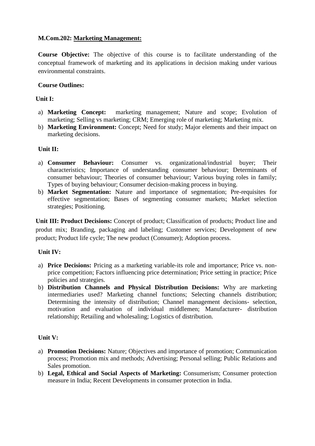## **M.Com.202: Marketing Management:**

**Course Objective:** The objective of this course is to facilitate understanding of the conceptual framework of marketing and its applications in decision making under various environmental constraints.

## **Course Outlines:**

## **Unit I:**

- a) **Marketing Concept:** marketing management; Nature and scope; Evolution of marketing; Selling vs marketing; CRM; Emerging role of marketing; Marketing mix.
- b) **Marketing Environment:** Concept; Need for study; Major elements and their impact on marketing decisions.

## **Unit II:**

- a) **Consumer Behaviour:** Consumer vs. organizational/industrial buyer; Their characteristics; Importance of understanding consumer behaviour; Determinants of consumer behaviour; Theories of consumer behaviour; Various buying roles in family; Types of buying behaviour; Consumer decision-making process in buying.
- b) **Market Segmentation:** Nature and importance of segmentation; Pre-requisites for effective segmentation; Bases of segmenting consumer markets; Market selection strategies; Positioning.

**Unit III: Product Decisions:** Concept of product; Classification of products; Product line and produt mix; Branding, packaging and labeling; Customer services; Development of new product; Product life cycle; The new product (Consumer); Adoption process.

### **Unit IV:**

- a) **Price Decisions:** Pricing as a marketing variable-its role and importance; Price vs. nonprice competition; Factors influencing price determination; Price setting in practice; Price policies and strategies.
- b) **Distribution Channels and Physical Distribution Decisions:** Why are marketing intermediaries used? Marketing channel functions; Selecting channels distribution; Determining the intensity of distribution; Channel management decisions- selection, motivation and evaluation of individual middlemen; Manufacturer- distribution relationship; Retailing and wholesaling; Logistics of distribution.

### **Unit V:**

- a) **Promotion Decisions:** Nature; Objectives and importance of promotion; Communication process; Promotion mix and methods; Advertising; Personal selling; Public Relations and Sales promotion.
- b) **Legal, Ethical and Social Aspects of Marketing:** Consumerism; Consumer protection measure in India; Recent Developments in consumer protection in India.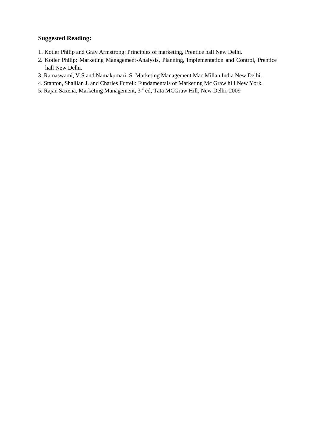- 1. Kotler Philip and Gray Armstrong: Principles of marketing, Prentice hall New Delhi.
- 2. Kotler Philip: Marketing Management-Analysis, Planning, Implementation and Control, Prentice hall New Delhi.
- 3. Ramaswami, V.S and Namakumari, S: Marketing Management Mac Millan India New Delhi.
- 4. Stanton, Shallian J. and Charles Futrell: Fundamentals of Marketing Mc Graw hill New York.
- 5. Rajan Saxena, Marketing Management, 3rd ed, Tata MCGraw Hill, New Delhi, 2009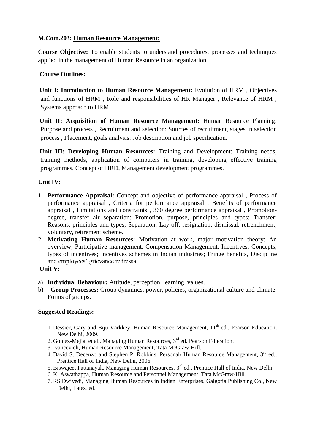## **M.Com.203: Human Resource Management:**

**Course Objective:** To enable students to understand procedures, processes and techniques applied in the management of Human Resource in an organization.

## **Course Outlines:**

**Unit I: Introduction to Human Resource Management:** Evolution of HRM , Objectives and functions of HRM , Role and responsibilities of HR Manager , Relevance of HRM , Systems approach to HRM

**Unit II: Acquisition of Human Resource Management:** Human Resource Planning: Purpose and process , Recruitment and selection: Sources of recruitment, stages in selection process , Placement, goals analysis: Job description and job specification.

**Unit III: Developing Human Resources:** Training and Development: Training needs, training methods, application of computers in training, developing effective training programmes, Concept of HRD, Management development programmes.

## **Unit IV:**

- 1. **Performance Appraisal:** Concept and objective of performance appraisal , Process of performance appraisal , Criteria for performance appraisal , Benefits of performance appraisal , Limitations and constraints , 360 degree performance appraisal , Promotiondegree, transfer air separation: Promotion, purpose, principles and types; Transfer: Reasons, principles and types; Separation: Lay-off, resignation, dismissal, retrenchment, voluntary**,** retirement scheme.
- 2. **Motivating Human Resources:** Motivation at work, major motivation theory: An overview, Participative management, Compensation Management, Incentives: Concepts, types of incentives; Incentives schemes in Indian industries; Fringe benefits, Discipline and employees' grievance redressal.

### **Unit V:**

- a) **Individual Behaviour:** Attitude, perception, learning, values.
- b) **Group Processes:** Group dynamics, power, policies, organizational culture and climate. Forms of groups.

- 1. Dessier, Gary and Biju Varkkey, Human Resource Management,  $11<sup>th</sup>$  ed., Pearson Education, New Delhi, 2009.
- 2. Gomez-Meija, et al., Managing Human Resources,  $3<sup>rd</sup>$  ed. Pearson Education.
- 3. Ivancevich, Human Resource Management, Tata McGraw-Hill.
- 4. David S. Decenzo and Stephen P. Robbins, Personal/ Human Resource Management, 3<sup>rd</sup> ed., Prentice Hall of India, New Delhi, 2006
- 5. Biswajeet Pattanayak, Managing Human Resources, 3<sup>rd</sup> ed., Prentice Hall of India, New Delhi.
- 6. K. Aswathappa, Human Resource and Personnel Management, Tata McGraw-Hill.
- 7. RS Dwivedi, Managing Human Resources in Indian Enterprises, Galgotia Publishing Co., New Delhi, Latest ed.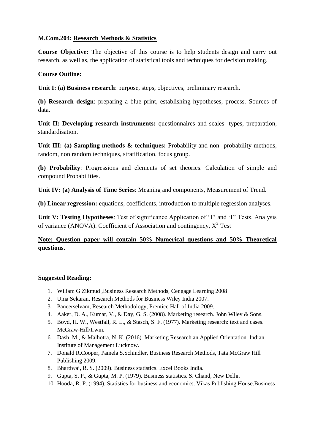## **M.Com.204: Research Methods & Statistics**

**Course Objective:** The objective of this course is to help students design and carry out research, as well as, the application of statistical tools and techniques for decision making.

## **Course Outline:**

**Unit I: (a) Business research**: purpose, steps, objectives, preliminary research.

**(b) Research design**: preparing a blue print, establishing hypotheses, process. Sources of data.

Unit II: Developing research instruments: questionnaires and scales- types, preparation, standardisation.

**Unit III:** (a) Sampling methods & techniques: Probability and non- probability methods, random, non random techniques, stratification, focus group.

**(b) Probability**: Progressions and elements of set theories. Calculation of simple and compound Probabilities.

**Unit IV: (a) Analysis of Time Series**: Meaning and components, Measurement of Trend.

**(b) Linear regression:** equations, coefficients, introduction to multiple regression analyses.

**Unit V: Testing Hypotheses**: Test of significance Application of 'T' and 'F' Tests. Analysis of variance (ANOVA). Coefficient of Association and contingency,  $X^2$  Test

## **Note: Question paper will contain 50% Numerical questions and 50% Theoretical questions.**

- 1. Wiliam G Zikmud ,Business Research Methods, Cengage Learning 2008
- 2. Uma Sekaran, Research Methods for Business Wiley India 2007.
- 3. Paneerselvam, Research Methodology, Prentice Hall of India 2009.
- 4. Aaker, D. A., Kumar, V., & Day, G. S. (2008). Marketing research. John Wiley & Sons.
- 5. Boyd, H. W., Westfall, R. L., & Stasch, S. F. (1977). Marketing research: text and cases. McGraw-Hill/Irwin.
- 6. Dash, M., & Malhotra, N. K. (2016). Marketing Research an Applied Orientation. Indian Institute of Management Lucknow.
- 7. Donald R.Cooper, Pamela S.Schindler, Business Research Methods, Tata McGraw Hill Publishing 2009.
- 8. Bhardwaj, R. S. (2009). Business statistics. Excel Books India.
- 9. Gupta, S. P., & Gupta, M. P. (1979). Business statistics. S. Chand, New Delhi.
- 10. Hooda, R. P. (1994). Statistics for business and economics. Vikas Publishing House.Business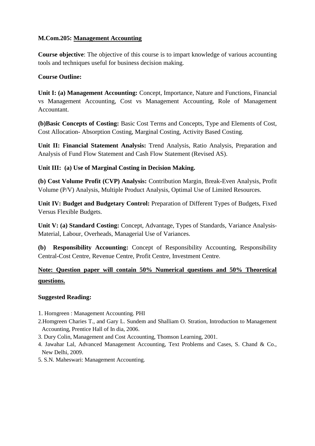## **M.Com.205: Management Accounting**

**Course objective**: The objective of this course is to impart knowledge of various accounting tools and techniques useful for business decision making.

## **Course Outline:**

**Unit I: (a) Management Accounting:** Concept, Importance, Nature and Functions, Financial vs Management Accounting, Cost vs Management Accounting, Role of Management Accountant.

**(b)Basic Concepts of Costing:** Basic Cost Terms and Concepts, Type and Elements of Cost, Cost Allocation- Absorption Costing, Marginal Costing, Activity Based Costing.

**Unit II: Financial Statement Analysis:** Trend Analysis, Ratio Analysis, Preparation and Analysis of Fund Flow Statement and Cash Flow Statement (Revised AS).

## **Unit III: (a) Use of Marginal Costing in Decision Making.**

**(b) Cost Volume Profit (CVP) Analysis:** Contribution Margin, Break-Even Analysis, Profit Volume (P/V) Analysis, Multiple Product Analysis, Optimal Use of Limited Resources.

**Unit IV: Budget and Budgetary Control:** Preparation of Different Types of Budgets, Fixed Versus Flexible Budgets.

**Unit V: (a) Standard Costing:** Concept, Advantage, Types of Standards, Variance Analysis-Material, Labour, Overheads, Managerial Use of Variances.

 **(b) Responsibility Accounting:** Concept of Responsibility Accounting, Responsibility Central-Cost Centre, Revenue Centre, Profit Centre, Investment Centre.

## **Note: Question paper will contain 50% Numerical questions and 50% Theoretical questions.**

- 1. Horngreen : Management Accounting. PHI
- 2.Homgreen Charies T., and Gary L. Sundem and Shalliam O. Stration, Introduction to Management Accounting, Prentice Hall of In dia, 2006.
- 3. Dury Colin, Management and Cost Accounting, Thomson Learning, 2001.
- 4. Jawahar Lal, Advanced Management Accounting, Text Problems and Cases, S. Chand & Co., New Delhi, 2009.
- 5. S.N. Maheswari: Management Accounting.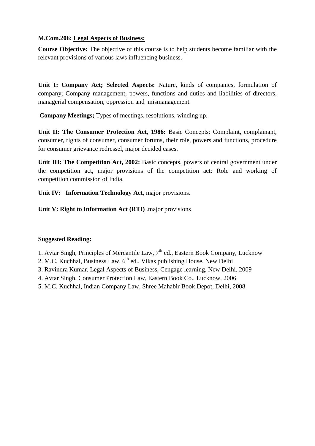## **M.Com.206: Legal Aspects of Business:**

**Course Objective:** The objective of this course is to help students become familiar with the relevant provisions of various laws influencing business.

**Unit I: Company Act; Selected Aspects:** Nature, kinds of companies, formulation of company; Company management, powers, functions and duties and liabilities of directors, managerial compensation, oppression and mismanagement.

**Company Meetings;** Types of meetings, resolutions, winding up.

**Unit II: The Consumer Protection Act, 1986:** Basic Concepts: Complaint, complainant, consumer, rights of consumer, consumer forums, their role, powers and functions, procedure for consumer grievance redressel, major decided cases.

**Unit III: The Competition Act, 2002:** Basic concepts, powers of central government under the competition act, major provisions of the competition act: Role and working of competition commission of India.

Unit **IV:** Information Technology Act, major provisions.

**Unit V: Right to Information Act (RTI)** .major provisions

- 1. Avtar Singh, Principles of Mercantile Law, 7<sup>th</sup> ed., Eastern Book Company, Lucknow
- 2. M.C. Kuchhal, Business Law,  $6<sup>th</sup>$  ed., Vikas publishing House, New Delhi
- 3. Ravindra Kumar, Legal Aspects of Business, Cengage learning, New Delhi, 2009
- 4. Avtar Singh, Consumer Protection Law, Eastern Book Co., Lucknow, 2006
- 5. M.C. Kuchhal, Indian Company Law, Shree Mahabir Book Depot, Delhi, 2008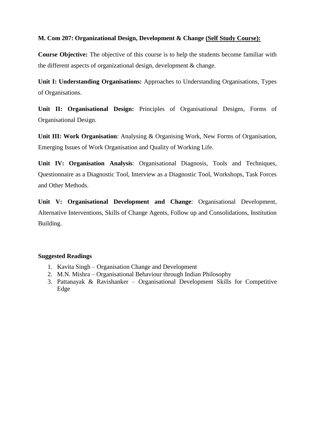## **M. Com 207: Organizational Design, Development & Change (Self Study Course):**

**Course Objective:** The objective of this course is to help the students become familiar with the different aspects of organizational design, development & change.

**Unit I: Understanding Organisations:** Approaches to Understanding Organisations, Types of Organisations.

**Unit II: Organisational Design:** Principles of Organisational Designs, Forms of Organisational Design.

**Unit III: Work Organisation**: Analysing & Organising Work, New Forms of Organisation, Emerging Issues of Work Organisation and Quality of Working Life.

**Unit IV: Organisation Analysis**: Organisational Diagnosis, Tools and Techniques, Questionnaire as a Diagnostic Tool, Interview as a Diagnostic Tool, Workshops, Task Forces and Other Methods.

**Unit V: Organisational Development and Change**: Organisational Development, Alternative Interventions, Skills of Change Agents, Follow up and Consolidations, Institution Building.

- 1. Kavita Singh Organisation Change and Development
- 2. M.N. Mishra Organisational Behaviour through Indian Philosophy
- 3. Pattanayak & Ravishanker Organisational Development Skills for Competitive Edge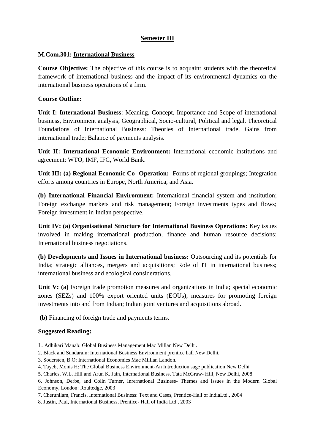## **Semester III**

#### **M.Com.301: International Business**

**Course Objective:** The objective of this course is to acquaint students with the theoretical framework of international business and the impact of its environmental dynamics on the international business operations of a firm.

#### **Course Outline:**

**Unit I: International Business**: Meaning, Concept, Importance and Scope of international business, Environment analysis; Geographical, Socio-cultural, Political and legal. Theoretical Foundations of International Business: Theories of International trade, Gains from international trade; Balance of payments analysis.

**Unit II: International Economic Environment:** International economic institutions and agreement; WTO, IMF, IFC, World Bank.

**Unit III: (a) Regional Economic Co- Operation:** Forms of regional groupings; Integration efforts among countries in Europe, North America, and Asia.

**(b) International Financial Environment:** International financial system and institution; Foreign exchange markets and risk management; Foreign investments types and flows; Foreign investment in Indian perspective.

**Unit IV: (a) Organisational Structure for International Business Operations:** Key issues involved in making international production, finance and human resource decisions; International business negotiations.

**(b) Developments and Issues in International business:** Outsourcing and its potentials for India; strategic alliances, mergers and acquisitions; Role of IT in international business; international business and ecological considerations.

Unit V: (a) Foreign trade promotion measures and organizations in India; special economic zones (SEZs) and 100% export oriented units (EOUs); measures for promoting foreign investments into and from Indian; Indian joint ventures and acquisitions abroad.

**(b)** Financing of foreign trade and payments terms.

#### **Suggested Reading:**

1. Adhikari Manab: Global Business Management Mac Millan New Delhi.

2. Black and Sundaram: International Business Environment prentice hall New Delhi.

3. Sodersten, B.O: International Economics Mac Milllan Landon.

4. Tayeb, Monis H: The Global Business Environment-An Introduction sage publication New Delhi

5. Charles, W.L. Hill and Arun K. Jain, International Business, Tata McGraw- Hill, New Delhi, 2008

6. Johnson, Derbe, and Colin Turner, Inrernational Business- Themes and Issues in the Modern Global Economy, London: Roultedge, 2003

7. Cherunilam, Francis, International Business: Text and Cases, Prentice-Hall of IndiaLtd., 2004

8. Justin, Paul, International Business, Prentice- Hall of India Ltd., 2003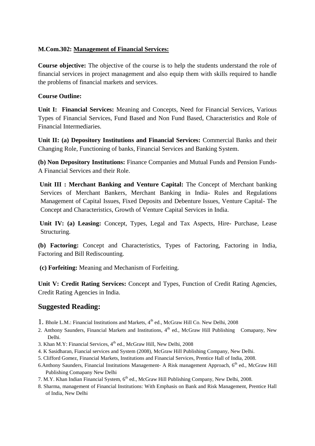## **M.Com.302: Management of Financial Services:**

**Course objective:** The objective of the course is to help the students understand the role of financial services in project management and also equip them with skills required to handle the problems of financial markets and services.

## **Course Outline:**

**Unit I: Financial Services:** Meaning and Concepts, Need for Financial Services, Various Types of Financial Services, Fund Based and Non Fund Based, Characteristics and Role of Financial Intermediaries.

**Unit II: (a) Depository Institutions and Financial Services:** Commercial Banks and their Changing Role, Functioning of banks, Financial Services and Banking System.

**(b) Non Depository Institutions:** Finance Companies and Mutual Funds and Pension Funds-A Financial Services and their Role.

**Unit III : Merchant Banking and Venture Capital:** The Concept of Merchant banking Services of Merchant Bankers, Merchant Banking in India- Rules and Regulations Management of Capital Issues, Fixed Deposits and Debenture Issues, Venture Capital- The Concept and Characteristics, Growth of Venture Capital Services in India.

**Unit IV: (a) Leasing:** Concept, Types, Legal and Tax Aspects, Hire- Purchase, Lease Structuring.

**(b) Factoring:** Concept and Characteristics, Types of Factoring, Factoring in India, Factoring and Bill Rediscounting.

**(c) Forfeiting:** Meaning and Mechanism of Forfeiting.

**Unit V: Credit Rating Services:** Concept and Types, Function of Credit Rating Agencies, Credit Rating Agencies in India.

- 1. Bhole L.M.: Financial Institutions and Markets, 4<sup>th</sup> ed., McGraw Hill Co. New Delhi, 2008
- 2. Anthony Saunders, Financial Markets and Institutions,  $4<sup>th</sup>$  ed., McGraw Hill Publishing Comapany, New Delhi.
- 3. Khan M.Y: Financial Services, 4<sup>th</sup> ed., McGraw Hill, New Delhi, 2008
- 4. K Sasidharan, Fiancial services and System (2008), McGraw Hill Publishing Company, New Delhi.
- 5. Clifford Gomez, Financial Markets, Institutions and Financial Services, Prentice Hall of India, 2008.
- 6.Anthony Saunders, Financial Institutions Management- A Risk management Approach, 6<sup>th</sup> ed., McGraw Hill Publishing Comapany New Delhi
- 7. M.Y. Khan Indian Financial System, 6<sup>th</sup> ed., McGraw Hill Publishing Company, New Delhi, 2008.
- 8. Sharma, management of Financial Institutions: With Emphasis on Bank and Risk Management, Prentice Hall of India, New Delhi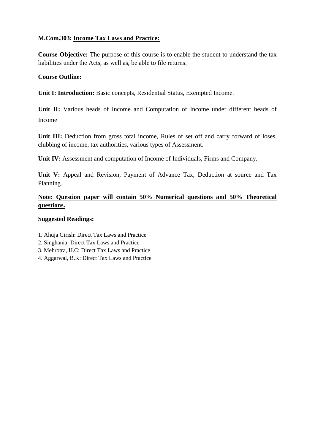## **M.Com.303: Income Tax Laws and Practice:**

**Course Objective:** The purpose of this course is to enable the student to understand the tax liabilities under the Acts, as well as, be able to file returns.

### **Course Outline:**

**Unit I: Introduction:** Basic concepts, Residential Status, Exempted Income.

**Unit II:** Various heads of Income and Computation of Income under different heads of Income

**Unit III:** Deduction from gross total income, Rules of set off and carry forward of loses, clubbing of income, tax authorities, various types of Assessment.

**Unit IV:** Assessment and computation of Income of Individuals, Firms and Company.

**Unit V:** Appeal and Revision, Payment of Advance Tax, Deduction at source and Tax Planning.

## **Note: Question paper will contain 50% Numerical questions and 50% Theoretical questions.**

- 1. Ahuja Girish: Direct Tax Laws and Practice
- 2. Singhania: Direct Tax Laws and Practice
- 3. Mehrotra, H.C: Direct Tax Laws and Practice
- 4. Aggarwal, B.K: Direct Tax Laws and Practice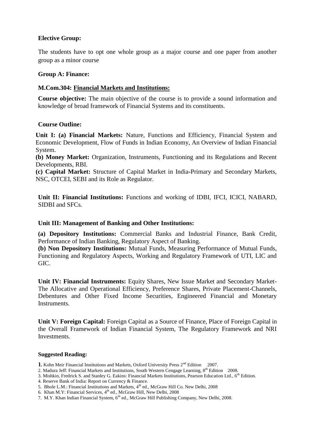#### **Elective Group:**

The students have to opt one whole group as a major course and one paper from another group as a minor course

#### **Group A: Finance:**

#### **M.Com.304: Financial Markets and Institutions:**

**Course objective:** The main objective of the course is to provide a sound information and knowledge of broad framework of Financial Systems and its constituents.

#### **Course Outline:**

**Unit I: (a) Financial Markets:** Nature, Functions and Efficiency, Financial System and Economic Development, Flow of Funds in Indian Economy, An Overview of Indian Financial System.

**(b) Money Market:** Organization, Instruments, Functioning and its Regulations and Recent Developments, RBI.

**(c) Capital Market:** Structure of Capital Market in India**-**Primary and Secondary Markets, NSC, OTCEI, SEBI and its Role as Regulator.

**Unit II: Financial Institutions:** Functions and working of IDBI, IFCI, ICICI, NABARD, SIDBI and SFCs.

#### **Unit III: Management of Banking and Other Institutions:**

**(a) Depository Institutions:** Commercial Banks and Industrial Finance, Bank Credit, Performance of Indian Banking, Regulatory Aspect of Banking.

**(b) Non Depository Institutions:** Mutual Funds, Measuring Performance of Mutual Funds, Functioning and Regulatory Aspects, Working and Regulatory Framework of UTI, LIC and GIC.

**Unit IV: Financial Instruments:** Equity Shares, New Issue Market and Secondary Market-The Allocative and Operational Efficiency, Preference Shares, Private Placement-Channels, Debentures and Other Fixed Income Securities, Engineered Financial and Monetary Instruments.

**Unit V: Foreign Capital:** Foreign Capital as a Source of Finance, Place of Foreign Capital in the Overall Framework of Indian Financial System, The Regulatory Framework and NRI Investments.

- 1. Kohn Meir Financial Institutions and Markets, Oxford University Press 2<sup>nd</sup> Edition 2007.
- 2. Madura Jeff: Financial Markets and Institutions, South Western Cengage Learning, 8<sup>th</sup> Edition 2008.
- 3. Mishkin, Fredrick S. and Stanley G. Eakins: Financial Markets Institutions, Pearson Education Ltd., 6<sup>th</sup> Edition.
- 4. Reserve Bank of India: Report on Currency & Finance.
- 5. Bhole L.M.: Financial Institutions and Markets, 4<sup>th</sup> ed., McGraw Hill Co. New Delhi, 2008
- 6. Khan M.Y: Financial Services,  $4<sup>th</sup>$  ed., McGraw Hill, New Delhi, 2008
- 7. M.Y. Khan Indian Financial System, 6th ed., McGraw Hill Publishing Company, New Delhi, 2008.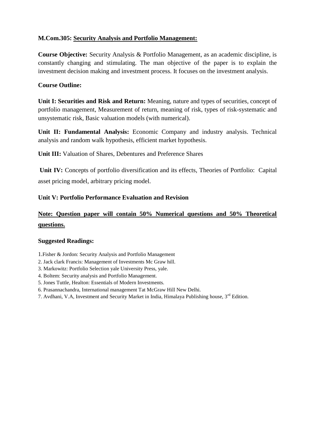## **M.Com.305: Security Analysis and Portfolio Management:**

**Course Objective:** Security Analysis & Portfolio Management, as an academic discipline, is constantly changing and stimulating. The man objective of the paper is to explain the investment decision making and investment process. It focuses on the investment analysis.

## **Course Outline:**

**Unit I: Securities and Risk and Return:** Meaning, nature and types of securities, concept of portfolio management, Measurement of return, meaning of risk, types of risk-systematic and unsystematic risk, Basic valuation models (with numerical).

**Unit II: Fundamental Analysis:** Economic Company and industry analysis. Technical analysis and random walk hypothesis, efficient market hypothesis.

**Unit III:** Valuation of Shares, Debentures and Preference Shares

**Unit IV:** Concepts of portfolio diversification and its effects, Theories of Portfolio: Capital asset pricing model, arbitrary pricing model.

### **Unit V: Portfolio Performance Evaluation and Revision**

## **Note: Question paper will contain 50% Numerical questions and 50% Theoretical questions.**

- 1.Fisher & Jordon: Security Analysis and Portfolio Management
- 2. Jack clark Francis: Management of Investments Mc Graw hill.
- 3. Markowitz: Portfolio Selection yale University Press, yale.
- 4. Boltem: Security analysis and Portfolio Management.
- 5. Jones Tuttle, Healton: Essentials of Modern Investments.
- 6. Prasannachandra, International management Tat McGraw Hill New Delhi.
- 7. Avdhani, V.A, Investment and Security Market in India, Himalaya Publishing house, 3<sup>rd</sup> Edition.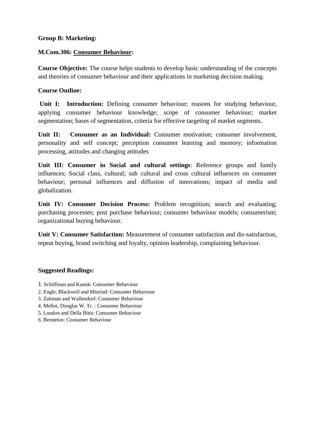#### **Group B: Marketing:**

#### **M.Com.306: Consumer Behaviour:**

**Course Objective:** The course helps students to develop basic understanding of the concepts and theories of consumer behaviour and their applications in marketing decision making.

#### **Course Outline:**

Unit I: Introduction: Defining consumer behaviour; reasons for studying behaviour, applying consumer behaviour knowledge; scope of consumer behaviour; market segmentation; bases of segmentation, criteria for effective targeting of market segments.

Unit II: Consumer as an Individual: Consumer motivation; consumer involvement, personality and self concept; perception consumer learning and memory; information processing, attitudes and changing attitudes

**Unit III: Consumer in Social and cultural settings**: Reference groups and family influences; Social class, cultural; sub cultural and cross cultural influences on consumer behaviour; personal influences and diffusion of innovations; impact of media and globalization.

**Unit IV: Consumer Decision Process:** Problem recognition; search and evaluating; purchasing processes; post purchase behaviour; consumer behaviour models; consumerism; organizational buying behaviour.

**Unit V: Consumer Satisfaction:** Measurement of consumer satisfaction and dis-satisfaction, repeat buying, brand switching and loyalty, opinion leadership, complaining behaviour.

- 1. Schiffman and Kanuk: Consumer Behaviour
- 2. Engle, Blackwell and Minriad: Consumer Behaviour
- 3. Zaltman and Wallendorf: Consumer Behaviour
- 4. Mellot, Douglas W. Tr. : Consumer Behaviour
- 5. Loudon and Della Bitta: Consumer Behaviour
- 6. Benneton: Consumer Behaviour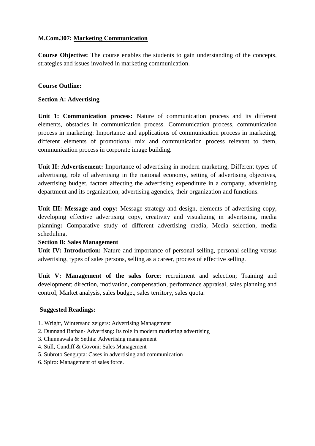## **M.Com.307: Marketing Communication**

**Course Objective:** The course enables the students to gain understanding of the concepts, strategies and issues involved in marketing communication.

## **Course Outline:**

### **Section A: Advertising**

**Unit 1: Communication process:** Nature of communication process and its different elements, obstacles in communication process. Communication process, communication process in marketing: Importance and applications of communication process in marketing, different elements of promotional mix and communication process relevant to them, communication process in corporate image building.

**Unit II: Advertisement:** Importance of advertising in modern marketing, Different types of advertising, role of advertising in the national economy, setting of advertising objectives, advertising budget, factors affecting the advertising expenditure in a company, advertising department and its organization, advertising agencies, their organization and functions.

**Unit III: Message and copy:** Message strategy and design, elements of advertising copy, developing effective advertising copy, creativity and visualizing in advertising, media planning**:** Comparative study of different advertising media, Media selection, media scheduling.

### **Section B: Sales Management**

Unit IV: Introduction: Nature and importance of personal selling, personal selling versus advertising, types of sales persons, selling as a career, process of effective selling.

**Unit V: Management of the sales force**: recruitment and selection; Training and development; direction, motivation, compensation, performance appraisal, sales planning and control; Market analysis, sales budget, sales territory, sales quota.

- 1. Wright, Wintersand zeigers: Advertising Management
- 2. Dunnand Barban- Advertisng: Its role in modern marketing advertising
- 3. Chunnawala & Sethia: Advertising management
- 4. Still, Cundiff & Govoni: Sales Management
- 5. Subroto Sengupta: Cases in advertising and communication
- 6. Spiro: Management of sales force.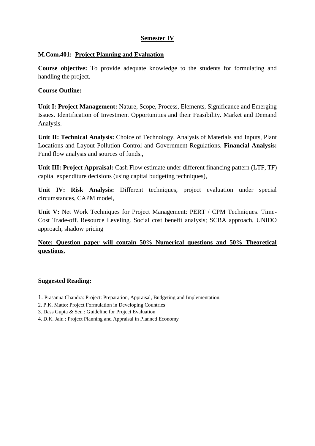## **Semester IV**

#### **M.Com.401: Project Planning and Evaluation**

**Course objective:** To provide adequate knowledge to the students for formulating and handling the project.

#### **Course Outline:**

**Unit I: Project Management:** Nature, Scope, Process, Elements, Significance and Emerging Issues. Identification of Investment Opportunities and their Feasibility. Market and Demand Analysis.

**Unit II: Technical Analysis:** Choice of Technology, Analysis of Materials and Inputs, Plant Locations and Layout Pollution Control and Government Regulations. **Financial Analysis:**  Fund flow analysis and sources of funds.,

**Unit III: Project Appraisal:** Cash Flow estimate under different financing pattern (LTF, TF) capital expenditure decisions (using capital budgeting techniques),

**Unit IV: Risk Analysis:** Different techniques, project evaluation under special circumstances, CAPM model,

**Unit V:** Net Work Techniques for Project Management: PERT / CPM Techniques. Time-Cost Trade-off. Resource Leveling. Social cost benefit analysis; SCBA approach, UNIDO approach, shadow pricing

## **Note: Question paper will contain 50% Numerical questions and 50% Theoretical questions.**

- 1. Prasanna Chandra: Project: Preparation, Appraisal, Budgeting and Implementation.
- 2. P.K. Matto: Project Formulation in Developing Countries
- 3. Dass Gupta & Sen : Guideline for Project Evaluation
- 4. D.K. Jain : Project Planning and Appraisal in Planned Economy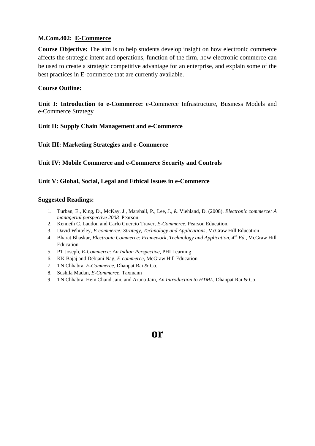#### **M.Com.402: E-Commerce**

**Course Objective:** The aim is to help students develop insight on how electronic commerce affects the strategic intent and operations, function of the firm, how electronic commerce can be used to create a strategic competitive advantage for an enterprise, and explain some of the best practices in E-commerce that are currently available.

#### **Course Outline:**

**Unit I: Introduction to e-Commerce:** e-Commerce Infrastructure, Business Models and e-Commerce Strategy

#### **Unit II: Supply Chain Management and e-Commerce**

#### **Unit III: Marketing Strategies and e-Commerce**

#### **Unit IV: Mobile Commerce and e-Commerce Security and Controls**

#### **Unit V: Global, Social, Legal and Ethical Issues in e-Commerce**

#### **Suggested Readings:**

- 1. Turban, E., King, D., McKay, J., Marshall, P., Lee, J., & Viehland, D. (2008). *Electronic commerce: A managerial perspective 2008* Pearson
- 2. Kenneth C. Laudon and Carlo Guercio Traver, *E-Commerce*, Pearson Education.
- 3. David Whiteley, *E-commerce: Strategy, Technology and Applications*, McGraw Hill Education
- 4. Bharat Bhaskar, *Electronic Commerce: Framework, Technology and Application, 4th Ed.,* McGraw Hill Education
- 5. PT Joseph, *E-Commerce: An Indian Perspective*, PHI Learning
- 6. KK Bajaj and Debjani Nag, *E-commerce,* McGraw Hill Education
- 7. TN Chhabra, *E-Commerce,* Dhanpat Rai & Co.
- 8. Sushila Madan, *E-Commerce,* Taxmann
- 9. TN Chhabra, Hem Chand Jain, and Aruna Jain, *An Introduction to HTML*, Dhanpat Rai & Co.

## **or**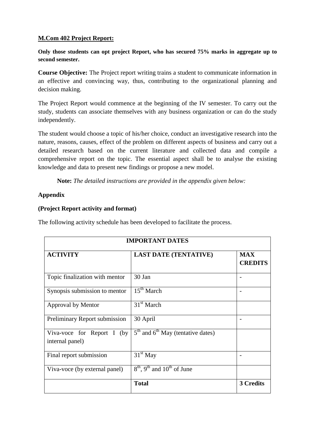## **M.Com 402 Project Report:**

**Only those students can opt project Report, who has secured 75% marks in aggregate up to second semester.**

**Course Objective:** The Project report writing trains a student to communicate information in an effective and convincing way, thus, contributing to the organizational planning and decision making.

The Project Report would commence at the beginning of the IV semester. To carry out the study, students can associate themselves with any business organization or can do the study independently.

The student would choose a topic of his/her choice, conduct an investigative research into the nature, reasons, causes, effect of the problem on different aspects of business and carry out a detailed research based on the current literature and collected data and compile a comprehensive report on the topic. The essential aspect shall be to analyse the existing knowledge and data to present new findings or propose a new model.

**Note:** *The detailed instructions are provided in the appendix given below:*

## **Appendix**

### **(Project Report activity and format)**

The following activity schedule has been developed to facilitate the process.

| <b>IMPORTANT DATES</b>                        |                                                      |                              |  |  |
|-----------------------------------------------|------------------------------------------------------|------------------------------|--|--|
| <b>ACTIVITY</b>                               | <b>LAST DATE (TENTATIVE)</b>                         | <b>MAX</b><br><b>CREDITS</b> |  |  |
| Topic finalization with mentor                | 30 Jan                                               |                              |  |  |
| Synopsis submission to mentor                 | $15th$ March                                         |                              |  |  |
| Approval by Mentor                            | $31st$ March                                         |                              |  |  |
| Preliminary Report submission                 | 30 April                                             |                              |  |  |
| Viva-voce for Report I (by<br>internal panel) | $5th$ and $6th$ May (tentative dates)                |                              |  |  |
| Final report submission                       | $\overline{3}1^{\text{st}}$ May                      |                              |  |  |
| Viva-voce (by external panel)                 | $8th$ , 9 <sup>th</sup> and 10 <sup>th</sup> of June |                              |  |  |
|                                               | <b>Total</b>                                         | 3 Credits                    |  |  |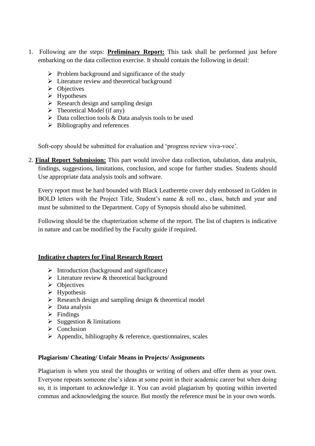- 1. Following are the steps: **Preliminary Report:** This task shall be performed just before embarking on the data collection exercise. It should contain the following in detail:
	- $\triangleright$  Problem background and significance of the study
	- > Literature review and theoretical background
	- $\triangleright$  Objectives
	- $\triangleright$  Hypotheses
	- $\triangleright$  Research design and sampling design
	- $\triangleright$  Theoretical Model (if any)
	- $\triangleright$  Data collection tools & Data analysis tools to be used
	- $\triangleright$  Bibliography and references

Soft-copy should be submitted for evaluation and 'progress review viva-voce'.

2. **Final Report Submission:** This part would involve data collection, tabulation, data analysis, findings, suggestions, limitations, conclusion, and scope for further studies. Students should Use appropriate data analysis tools and software.

Every report must be hard bounded with Black Leatherette cover duly embossed in Golden in BOLD letters with the Project Title, Student's name & roll no., class, batch and year and must be submitted to the Department. Copy of Synopsis should also be submitted.

Following should be the chapterization scheme of the report. The list of chapters is indicative in nature and can be modified by the Faculty guide if required.

### **Indicative chapters for Final Research Report**

- $\triangleright$  Introduction (background and significance)
- $\triangleright$  Literature review & theoretical background
- $\triangleright$  Objectives
- $\triangleright$  Hypothesis
- $\triangleright$  Research design and sampling design & theoretical model
- $\triangleright$  Data analysis
- $\triangleright$  Findings
- $\triangleright$  Suggestion & limitations
- $\triangleright$  Conclusion
- $\triangleright$  Appendix, bibliography & reference, questionnaires, scales

### **Plagiarism/ Cheating/ Unfair Means in Projects/ Assignments**

Plagiarism is when you steal the thoughts or writing of others and offer them as your own. Everyone repeats someone else's ideas at some point in their academic career but when doing so, it is important to acknowledge it. You can avoid plagiarism by quoting within inverted commas and acknowledging the source. But mostly the reference must be in your own words.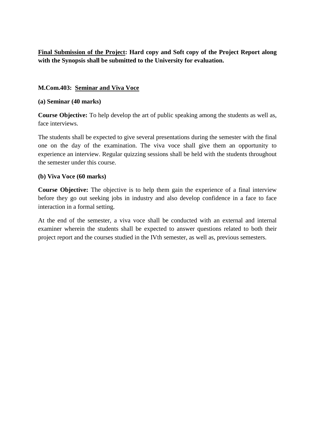**Final Submission of the Project: Hard copy and Soft copy of the Project Report along with the Synopsis shall be submitted to the University for evaluation.**

## **M.Com.403: Seminar and Viva Voce**

### **(a) Seminar (40 marks)**

**Course Objective:** To help develop the art of public speaking among the students as well as, face interviews.

The students shall be expected to give several presentations during the semester with the final one on the day of the examination. The viva voce shall give them an opportunity to experience an interview. Regular quizzing sessions shall be held with the students throughout the semester under this course.

### **(b) Viva Voce (60 marks)**

**Course Objective:** The objective is to help them gain the experience of a final interview before they go out seeking jobs in industry and also develop confidence in a face to face interaction in a formal setting.

At the end of the semester, a viva voce shall be conducted with an external and internal examiner wherein the students shall be expected to answer questions related to both their project report and the courses studied in the IVth semester, as well as, previous semesters.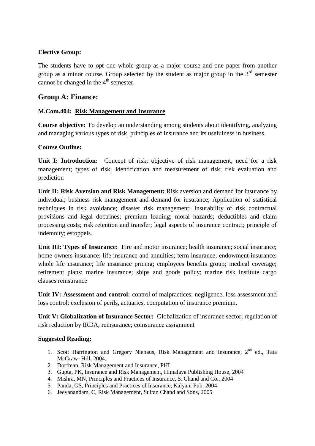## **Elective Group:**

The students have to opt one whole group as a major course and one paper from another group as a minor course. Group selected by the student as major group in the  $3<sup>rd</sup>$  semester cannot be changed in the  $4<sup>th</sup>$  semester.

## **Group A: Finance:**

## **M.Com.404: Risk Management and Insurance**

**Course objective:** To develop an understanding among students about identifying, analyzing and managing various types of risk, principles of insurance and its usefulness in business.

### **Course Outline:**

Unit I: Introduction: Concept of risk; objective of risk management; need for a risk management; types of risk; Identification and measurement of risk; risk evaluation and prediction

**Unit II: Risk Aversion and Risk Management:** Risk aversion and demand for insurance by individual; business risk management and demand for insurance; Application of statistical techniques in risk avoidance; disaster risk management; Insurability of risk contractual provisions and legal doctrines; premium loading; moral hazards; deductibles and claim processing costs; risk retention and transfer; legal aspects of insurance contract; principle of indemnity; estoppels.

**Unit III: Types of Insurance:** Fire and motor insurance; health insurance; social insurance; home-owners insurance; life insurance and annuities; term insurance; endowment insurance; whole life insurance; life insurance pricing; employees benefits group; medical coverage; retirement plans; marine insurance; ships and goods policy; marine risk institute cargo clauses reinsurance

Unit IV: Assessment and control: control of malpractices; negligence, loss assessment and loss control; exclusion of perils, actuaries, computation of insurance premium.

**Unit V: Globalization of Insurance Sector:** Globalization of insurance sector; regulation of risk reduction by IRDA; reinsurance; coinsurance assignment

- 1. Scott Harrington and Gregory Niehaus, Risk Management and Insurance,  $2<sup>nd</sup>$  ed., Tata McGraw- Hill, 2004.
- 2. Dorfman, Risk Management and Insurance, PHI
- 3. Gupta, PK, Insurance and Risk Management, Himalaya Publishing House, 2004
- 4. Mishra, MN, Principles and Practices of Insurance, S. Chand and Co., 2004
- 5. Panda, GS, Principles and Practices of Insurance, Kalyani Pub. 2004
- 6. Jeevanandam, C, Risk Management, Sultan Chand and Sons, 2005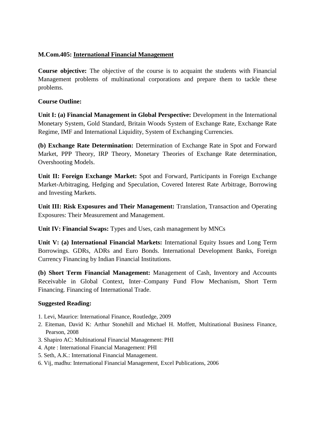## **M.Com.405: International Financial Management**

**Course objective:** The objective of the course is to acquaint the students with Financial Management problems of multinational corporations and prepare them to tackle these problems.

## **Course Outline:**

**Unit I: (a) Financial Management in Global Perspective:** Development in the International Monetary System, Gold Standard, Britain Woods System of Exchange Rate, Exchange Rate Regime, IMF and International Liquidity, System of Exchanging Currencies.

**(b) Exchange Rate Determination:** Determination of Exchange Rate in Spot and Forward Market, PPP Theory, IRP Theory, Monetary Theories of Exchange Rate determination, Overshooting Models.

**Unit II: Foreign Exchange Market:** Spot and Forward, Participants in Foreign Exchange Market-Arbitraging, Hedging and Speculation, Covered Interest Rate Arbitrage, Borrowing and Investing Markets.

**Unit III: Risk Exposures and Their Management:** Translation, Transaction and Operating Exposures: Their Measurement and Management.

**Unit IV: Financial Swaps:** Types and Uses, cash management by MNCs

**Unit V: (a) International Financial Markets:** International Equity Issues and Long Term Borrowings. GDRs, ADRs and Euro Bonds. International Development Banks, Foreign Currency Financing by Indian Financial Institutions.

**(b) Short Term Financial Management:** Management of Cash, Inventory and Accounts Receivable in Global Context, Inter–Company Fund Flow Mechanism, Short Term Financing. Financing of International Trade.

- 1. Levi, Maurice: International Finance, Routledge, 2009
- 2. Eiteman, David K: Arthur Stonehill and Michael H. Moffett, Multinational Business Finance, Pearson, 2008
- 3. Shapiro AC: Multinational Financial Management: PHI
- 4. Apte : International Financial Management: PHI
- 5. Seth, A.K.: International Financial Management.
- 6. Vij, madhu: International Financial Management, Excel Publications, 2006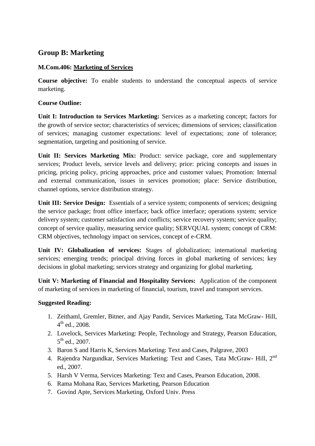## **Group B: Marketing**

## **M.Com.406: Marketing of Services**

**Course objective:** To enable students to understand the conceptual aspects of service marketing.

## **Course Outline:**

**Unit I: Introduction to Services Marketing:** Services as a marketing concept; factors for the growth of service sector; characteristics of services; dimensions of services; classification of services; managing customer expectations: level of expectations; zone of tolerance; segmentation, targeting and positioning of service.

**Unit II: Services Marketing Mix:** Product: service package, core and supplementary services; Product levels, service levels and delivery; price: pricing concepts and issues in pricing, pricing policy, pricing approaches, price and customer values; Promotion: Internal and external communication, issues in services promotion; place: Service distribution, channel options, service distribution strategy.

**Unit III: Service Design:** Essentials of a service system; components of services; designing the service package; front office interface; back office interface; operations system; service delivery system; customer satisfaction and conflicts; service recovery system; service quality; concept of service quality, measuring service quality; SERVQUAL system; concept of CRM: CRM objectives, technology impact on services, concept of e-CRM.

**Unit IV: Globalization of services:** Stages of globalization; international marketing services; emerging trends; principal driving forces in global marketing of services; key decisions in global marketing; services strategy and organizing for global marketing.

**Unit V: Marketing of Financial and Hospitality Services:** Application of the component of marketing of services in marketing of financial, tourism, travel and transport services.

- 1. Zeithaml, Gremler, Bitner, and Ajay Pandit, Services Marketing, Tata McGraw- Hill,  $4^{\text{th}}$  ed., 2008.
- 2. Lovelock, Services Marketing: People, Technology and Strategy, Pearson Education, 5<sup>th</sup> ed., 2007.
- 3. Baron S and Harris K, Services Marketing: Text and Cases, Palgrave, 2003
- 4. Rajendra Nargundkar, Services Marketing: Text and Cases, Tata McGraw- Hill, 2<sup>nd</sup> ed., 2007.
- 5. Harsh V Verma, Services Marketing: Text and Cases, Pearson Education, 2008.
- 6. Rama Mohana Rao, Services Marketing, Pearson Education
- 7. Govind Apte, Services Marketing, Oxford Univ. Press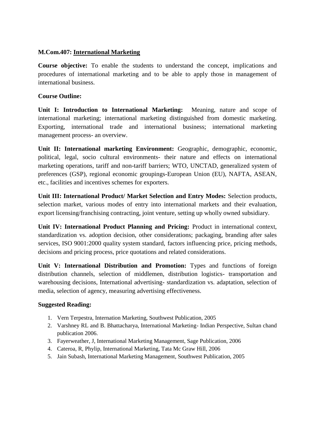### **M.Com.407: International Marketing**

**Course objective:** To enable the students to understand the concept, implications and procedures of international marketing and to be able to apply those in management of international business.

#### **Course Outline:**

**Unit I: Introduction to International Marketing:** Meaning, nature and scope of international marketing; international marketing distinguished from domestic marketing. Exporting, international trade and international business; international marketing management process- an overview.

**Unit II: International marketing Environment:** Geographic, demographic, economic, political, legal, socio cultural environments- their nature and effects on international marketing operations, tariff and non-tariff barriers; WTO, UNCTAD, generalized system of preferences (GSP), regional economic groupings-European Union (EU), NAFTA, ASEAN, etc., facilities and incentives schemes for exporters.

**Unit III: International Product/ Market Selection and Entry Modes:** Selection products, selection market, various modes of entry into international markets and their evaluation, export licensing/franchising contracting, joint venture, setting up wholly owned subsidiary.

**Unit IV: International Product Planning and Pricing:** Product in international context, standardization vs. adoption decision, other considerations; packaging, branding after sales services, ISO 9001:2000 quality system standard, factors influencing price, pricing methods, decisions and pricing process, price quotations and related considerations.

**Unit V: International Distribution and Promotion:** Types and functions of foreign distribution channels, selection of middlemen, distribution logistics- transportation and warehousing decisions, International advertising- standardization vs. adaptation, selection of media, selection of agency, measuring advertising effectiveness.

- 1. Vern Terpestra, Internation Marketing, Southwest Publication, 2005
- 2. Varshney RL and B. Bhattacharya, International Marketing- Indian Perspective, Sultan chand publication 2006.
- 3. Fayerweather, J, International Marketing Management, Sage Publication, 2006
- 4. Cateroa, R, Phylip, International Marketing, Tata Mc Graw Hill, 2006
- 5. Jain Subash, International Marketing Management, Southwest Publication, 2005